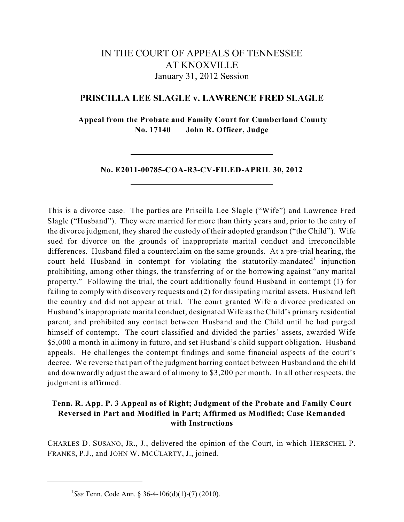# IN THE COURT OF APPEALS OF TENNESSEE AT KNOXVILLE January 31, 2012 Session

# **PRISCILLA LEE SLAGLE v. LAWRENCE FRED SLAGLE**

**Appeal from the Probate and Family Court for Cumberland County No. 17140 John R. Officer, Judge**

**No. E2011-00785-COA-R3-CV-FILED-APRIL 30, 2012**

This is a divorce case. The parties are Priscilla Lee Slagle ("Wife") and Lawrence Fred Slagle ("Husband"). They were married for more than thirty years and, prior to the entry of the divorce judgment, they shared the custody of their adopted grandson ("the Child"). Wife sued for divorce on the grounds of inappropriate marital conduct and irreconcilable differences. Husband filed a counterclaim on the same grounds. At a pre-trial hearing, the court held Husband in contempt for violating the statutorily-mandated<sup>1</sup> injunction prohibiting, among other things, the transferring of or the borrowing against "any marital property." Following the trial, the court additionally found Husband in contempt (1) for failing to comply with discovery requests and (2) for dissipating marital assets. Husband left the country and did not appear at trial. The court granted Wife a divorce predicated on Husband's inappropriate marital conduct; designated Wife as the Child's primary residential parent; and prohibited any contact between Husband and the Child until he had purged himself of contempt. The court classified and divided the parties' assets, awarded Wife \$5,000 a month in alimony in futuro, and set Husband's child support obligation. Husband appeals. He challenges the contempt findings and some financial aspects of the court's decree. We reverse that part of the judgment barring contact between Husband and the child and downwardly adjust the award of alimony to \$3,200 per month. In all other respects, the judgment is affirmed.

# **Tenn. R. App. P. 3 Appeal as of Right; Judgment of the Probate and Family Court Reversed in Part and Modified in Part; Affirmed as Modified; Case Remanded with Instructions**

CHARLES D. SUSANO, JR., J., delivered the opinion of the Court, in which HERSCHEL P. FRANKS, P.J., and JOHN W. MCCLARTY, J., joined.

<sup>&</sup>lt;sup>1</sup>See Tenn. Code Ann. § 36-4-106(d)(1)-(7) (2010).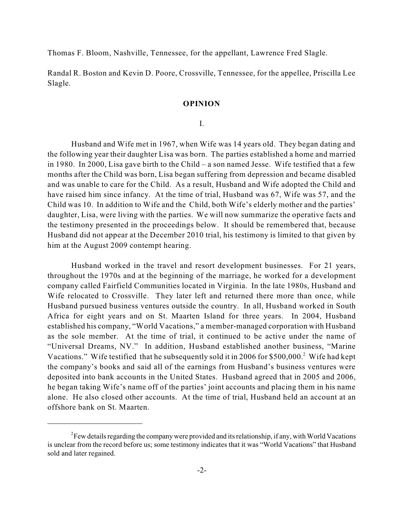Thomas F. Bloom, Nashville, Tennessee, for the appellant, Lawrence Fred Slagle.

Randal R. Boston and Kevin D. Poore, Crossville, Tennessee, for the appellee, Priscilla Lee Slagle.

### **OPINION**

### I.

Husband and Wife met in 1967, when Wife was 14 years old. They began dating and the following year their daughter Lisa was born. The parties established a home and married in 1980. In 2000, Lisa gave birth to the Child – a son named Jesse. Wife testified that a few months after the Child was born, Lisa began suffering from depression and became disabled and was unable to care for the Child. As a result, Husband and Wife adopted the Child and have raised him since infancy. At the time of trial, Husband was 67, Wife was 57, and the Child was 10. In addition to Wife and the Child, both Wife's elderly mother and the parties' daughter, Lisa, were living with the parties. We will now summarize the operative facts and the testimony presented in the proceedings below. It should be remembered that, because Husband did not appear at the December 2010 trial, his testimony is limited to that given by him at the August 2009 contempt hearing.

Husband worked in the travel and resort development businesses. For 21 years, throughout the 1970s and at the beginning of the marriage, he worked for a development company called Fairfield Communities located in Virginia. In the late 1980s, Husband and Wife relocated to Crossville. They later left and returned there more than once, while Husband pursued business ventures outside the country. In all, Husband worked in South Africa for eight years and on St. Maarten Island for three years. In 2004, Husband established his company, "World Vacations," a member-managed corporation with Husband as the sole member. At the time of trial, it continued to be active under the name of "Universal Dreams, NV." In addition, Husband established another business, "Marine Vacations." Wife testified that he subsequently sold it in 2006 for \$500,000.<sup>2</sup> Wife had kept the company's books and said all of the earnings from Husband's business ventures were deposited into bank accounts in the United States. Husband agreed that in 2005 and 2006, he began taking Wife's name off of the parties' joint accounts and placing them in his name alone. He also closed other accounts. At the time of trial, Husband held an account at an offshore bank on St. Maarten.

 $\rm^2$ Few details regarding the company were provided and its relationship, if any, with World Vacations is unclear from the record before us; some testimony indicates that it was "World Vacations" that Husband sold and later regained.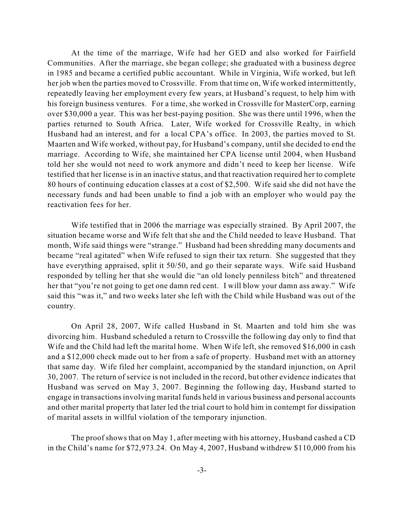At the time of the marriage, Wife had her GED and also worked for Fairfield Communities. After the marriage, she began college; she graduated with a business degree in 1985 and became a certified public accountant. While in Virginia, Wife worked, but left her job when the parties moved to Crossville. From that time on, Wife worked intermittently, repeatedly leaving her employment every few years, at Husband's request, to help him with his foreign business ventures. For a time, she worked in Crossville for MasterCorp, earning over \$30,000 a year. This was her best-paying position. She was there until 1996, when the parties returned to South Africa. Later, Wife worked for Crossville Realty, in which Husband had an interest, and for a local CPA's office. In 2003, the parties moved to St. Maarten and Wife worked, without pay, for Husband's company, until she decided to end the marriage. According to Wife, she maintained her CPA license until 2004, when Husband told her she would not need to work anymore and didn't need to keep her license. Wife testified that her license is in an inactive status, and that reactivation required her to complete 80 hours of continuing education classes at a cost of \$2,500. Wife said she did not have the necessary funds and had been unable to find a job with an employer who would pay the reactivation fees for her.

Wife testified that in 2006 the marriage was especially strained. By April 2007, the situation became worse and Wife felt that she and the Child needed to leave Husband. That month, Wife said things were "strange." Husband had been shredding many documents and became "real agitated" when Wife refused to sign their tax return. She suggested that they have everything appraised, split it 50/50, and go their separate ways. Wife said Husband responded by telling her that she would die "an old lonely penniless bitch" and threatened her that "you're not going to get one damn red cent. I will blow your damn ass away." Wife said this "was it," and two weeks later she left with the Child while Husband was out of the country.

On April 28, 2007, Wife called Husband in St. Maarten and told him she was divorcing him. Husband scheduled a return to Crossville the following day only to find that Wife and the Child had left the marital home. When Wife left, she removed \$16,000 in cash and a \$12,000 check made out to her from a safe of property. Husband met with an attorney that same day. Wife filed her complaint, accompanied by the standard injunction, on April 30, 2007. The return of service is not included in the record, but other evidence indicates that Husband was served on May 3, 2007. Beginning the following day, Husband started to engage in transactionsinvolving marital funds held in various business and personal accounts and other marital property that later led the trial court to hold him in contempt for dissipation of marital assets in willful violation of the temporary injunction.

The proof shows that on May 1, after meeting with his attorney, Husband cashed a CD in the Child's name for \$72,973.24. On May 4, 2007, Husband withdrew \$110,000 from his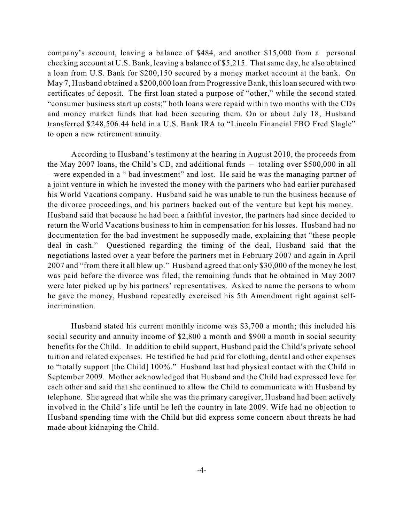company's account, leaving a balance of \$484, and another \$15,000 from a personal checking account at U.S. Bank, leaving a balance of \$5,215. That same day, he also obtained a loan from U.S. Bank for \$200,150 secured by a money market account at the bank. On May 7, Husband obtained a \$200,000 loan from Progressive Bank, this loan secured with two certificates of deposit. The first loan stated a purpose of "other," while the second stated "consumer business start up costs;" both loans were repaid within two months with the CDs and money market funds that had been securing them. On or about July 18, Husband transferred \$248,506.44 held in a U.S. Bank IRA to "Lincoln Financial FBO Fred Slagle" to open a new retirement annuity.

According to Husband's testimony at the hearing in August 2010, the proceeds from the May 2007 loans, the Child's CD, and additional funds – totaling over \$500,000 in all – were expended in a " bad investment" and lost. He said he was the managing partner of a joint venture in which he invested the money with the partners who had earlier purchased his World Vacations company. Husband said he was unable to run the business because of the divorce proceedings, and his partners backed out of the venture but kept his money. Husband said that because he had been a faithful investor, the partners had since decided to return the World Vacations business to him in compensation for his losses. Husband had no documentation for the bad investment he supposedly made, explaining that "these people deal in cash." Questioned regarding the timing of the deal, Husband said that the negotiations lasted over a year before the partners met in February 2007 and again in April 2007 and "from there it all blew up." Husband agreed that only \$30,000 of the money he lost was paid before the divorce was filed; the remaining funds that he obtained in May 2007 were later picked up by his partners' representatives. Asked to name the persons to whom he gave the money, Husband repeatedly exercised his 5th Amendment right against selfincrimination.

Husband stated his current monthly income was \$3,700 a month; this included his social security and annuity income of \$2,800 a month and \$900 a month in social security benefits for the Child. In addition to child support, Husband paid the Child's private school tuition and related expenses. He testified he had paid for clothing, dental and other expenses to "totally support [the Child] 100%." Husband last had physical contact with the Child in September 2009. Mother acknowledged that Husband and the Child had expressed love for each other and said that she continued to allow the Child to communicate with Husband by telephone. She agreed that while she was the primary caregiver, Husband had been actively involved in the Child's life until he left the country in late 2009. Wife had no objection to Husband spending time with the Child but did express some concern about threats he had made about kidnaping the Child.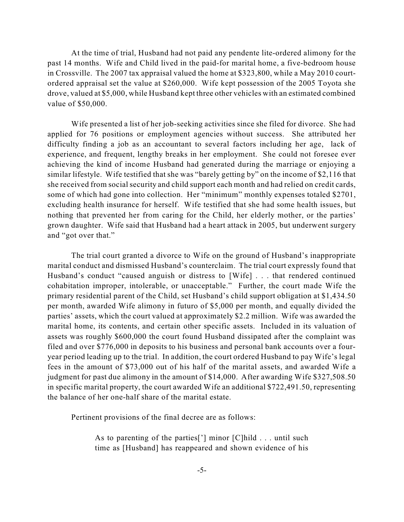At the time of trial, Husband had not paid any pendente lite-ordered alimony for the past 14 months. Wife and Child lived in the paid-for marital home, a five-bedroom house in Crossville. The 2007 tax appraisal valued the home at \$323,800, while a May 2010 courtordered appraisal set the value at \$260,000. Wife kept possession of the 2005 Toyota she drove, valued at \$5,000, while Husband kept three other vehicles with an estimated combined value of \$50,000.

Wife presented a list of her job-seeking activities since she filed for divorce. She had applied for 76 positions or employment agencies without success. She attributed her difficulty finding a job as an accountant to several factors including her age, lack of experience, and frequent, lengthy breaks in her employment. She could not foresee ever achieving the kind of income Husband had generated during the marriage or enjoying a similar lifestyle. Wife testified that she was "barely getting by" on the income of \$2,116 that she received from social security and child support each month and had relied on credit cards, some of which had gone into collection. Her "minimum" monthly expenses totaled \$2701, excluding health insurance for herself. Wife testified that she had some health issues, but nothing that prevented her from caring for the Child, her elderly mother, or the parties' grown daughter. Wife said that Husband had a heart attack in 2005, but underwent surgery and "got over that."

The trial court granted a divorce to Wife on the ground of Husband's inappropriate marital conduct and dismissed Husband's counterclaim. The trial court expressly found that Husband's conduct "caused anguish or distress to [Wife] . . . that rendered continued cohabitation improper, intolerable, or unacceptable." Further, the court made Wife the primary residential parent of the Child, set Husband's child support obligation at \$1,434.50 per month, awarded Wife alimony in futuro of \$5,000 per month, and equally divided the parties' assets, which the court valued at approximately \$2.2 million. Wife was awarded the marital home, its contents, and certain other specific assets. Included in its valuation of assets was roughly \$600,000 the court found Husband dissipated after the complaint was filed and over \$776,000 in deposits to his business and personal bank accounts over a fouryear period leading up to the trial. In addition, the court ordered Husband to pay Wife's legal fees in the amount of \$73,000 out of his half of the marital assets, and awarded Wife a judgment for past due alimony in the amount of \$14,000. After awarding Wife \$327,508.50 in specific marital property, the court awarded Wife an additional \$722,491.50, representing the balance of her one-half share of the marital estate.

Pertinent provisions of the final decree are as follows:

As to parenting of the parties['] minor [C]hild . . . until such time as [Husband] has reappeared and shown evidence of his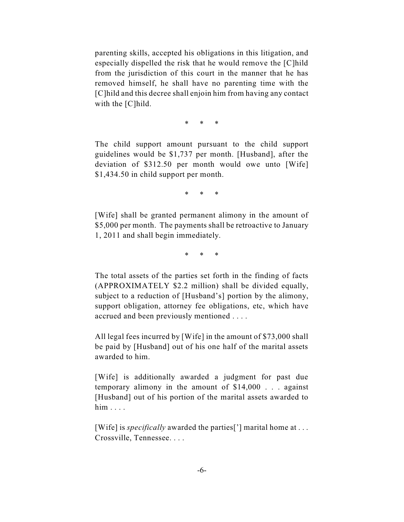parenting skills, accepted his obligations in this litigation, and especially dispelled the risk that he would remove the [C]hild from the jurisdiction of this court in the manner that he has removed himself, he shall have no parenting time with the [C]hild and this decree shall enjoin him from having any contact with the [C]hild.

\* \* \*

The child support amount pursuant to the child support guidelines would be \$1,737 per month. [Husband], after the deviation of \$312.50 per month would owe unto [Wife] \$1,434.50 in child support per month.

\* \* \*

[Wife] shall be granted permanent alimony in the amount of \$5,000 per month. The payments shall be retroactive to January 1, 2011 and shall begin immediately.

\* \* \*

The total assets of the parties set forth in the finding of facts (APPROXIMATELY \$2.2 million) shall be divided equally, subject to a reduction of [Husband's] portion by the alimony, support obligation, attorney fee obligations, etc, which have accrued and been previously mentioned . . . .

All legal fees incurred by [Wife] in the amount of \$73,000 shall be paid by [Husband] out of his one half of the marital assets awarded to him.

[Wife] is additionally awarded a judgment for past due temporary alimony in the amount of \$14,000 . . . against [Husband] out of his portion of the marital assets awarded to him . . . .

[Wife] is *specifically* awarded the parties['] marital home at ... Crossville, Tennessee. . . .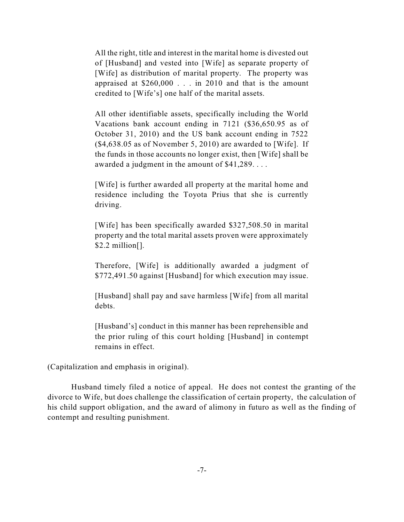All the right, title and interest in the marital home is divested out of [Husband] and vested into [Wife] as separate property of [Wife] as distribution of marital property. The property was appraised at \$260,000 . . . in 2010 and that is the amount credited to [Wife's] one half of the marital assets.

All other identifiable assets, specifically including the World Vacations bank account ending in 7121 (\$36,650.95 as of October 31, 2010) and the US bank account ending in 7522 (\$4,638.05 as of November 5, 2010) are awarded to [Wife]. If the funds in those accounts no longer exist, then [Wife] shall be awarded a judgment in the amount of \$41,289. . . .

[Wife] is further awarded all property at the marital home and residence including the Toyota Prius that she is currently driving.

[Wife] has been specifically awarded \$327,508.50 in marital property and the total marital assets proven were approximately \$2.2 million[].

Therefore, [Wife] is additionally awarded a judgment of \$772,491.50 against [Husband] for which execution may issue.

[Husband] shall pay and save harmless [Wife] from all marital debts.

[Husband's] conduct in this manner has been reprehensible and the prior ruling of this court holding [Husband] in contempt remains in effect.

(Capitalization and emphasis in original).

Husband timely filed a notice of appeal. He does not contest the granting of the divorce to Wife, but does challenge the classification of certain property, the calculation of his child support obligation, and the award of alimony in futuro as well as the finding of contempt and resulting punishment.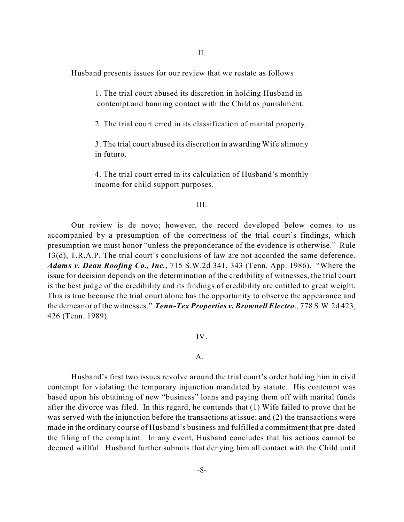II.

Husband presents issues for our review that we restate as follows:

1. The trial court abused its discretion in holding Husband in contempt and banning contact with the Child as punishment.

2. The trial court erred in its classification of marital property.

3. The trial court abused its discretion in awarding Wife alimony in futuro.

4. The trial court erred in its calculation of Husband's monthly income for child support purposes.

### III.

Our review is de novo; however, the record developed below comes to us accompanied by a presumption of the correctness of the trial court's findings, which presumption we must honor "unless the preponderance of the evidence is otherwise." Rule 13(d), T.R.A.P. The trial court's conclusions of law are not accorded the same deference. *Adams v. Dean Roofing Co., Inc.*, 715 S.W.2d 341, 343 (Tenn. App. 1986). "Where the issue for decision depends on the determination of the credibility of witnesses, the trial court is the best judge of the credibility and its findings of credibility are entitled to great weight. This is true because the trial court alone has the opportunity to observe the appearance and the demeanor of the witnesses." *Tenn-Tex Properties v. Brownell Electro*., 778 S.W.2d 423, 426 (Tenn. 1989).

## IV.

# A.

Husband's first two issues revolve around the trial court's order holding him in civil contempt for violating the temporary injunction mandated by statute. His contempt was based upon his obtaining of new "business" loans and paying them off with marital funds after the divorce was filed. In this regard, he contends that (1) Wife failed to prove that he was served with the injunction before the transactions at issue; and (2) the transactions were made in the ordinary course of Husband's business and fulfilled a commitment that pre-dated the filing of the complaint. In any event, Husband concludes that his actions cannot be deemed willful. Husband further submits that denying him all contact with the Child until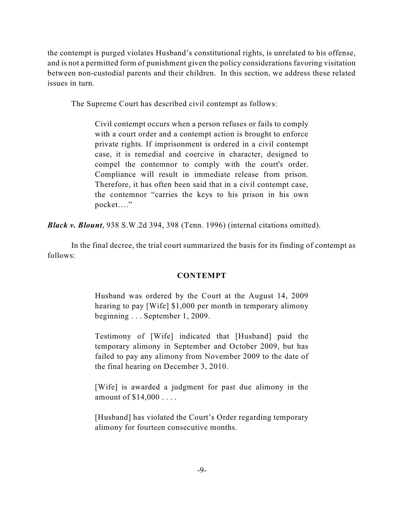the contempt is purged violates Husband's constitutional rights, is unrelated to his offense, and is not a permitted form of punishment given the policy considerations favoring visitation between non-custodial parents and their children. In this section, we address these related issues in turn.

The Supreme Court has described civil contempt as follows:

Civil contempt occurs when a person refuses or fails to comply with a court order and a contempt action is brought to enforce private rights. If imprisonment is ordered in a civil contempt case, it is remedial and coercive in character, designed to compel the contemnor to comply with the court's order. Compliance will result in immediate release from prison. Therefore, it has often been said that in a civil contempt case, the contemnor "carries the keys to his prison in his own pocket…."

*Black v. Blount*, 938 S.W.2d 394, 398 (Tenn. 1996) (internal citations omitted).

In the final decree, the trial court summarized the basis for its finding of contempt as follows:

# **CONTEMPT**

Husband was ordered by the Court at the August 14, 2009 hearing to pay [Wife] \$1,000 per month in temporary alimony beginning . . . September 1, 2009.

Testimony of [Wife] indicated that [Husband] paid the temporary alimony in September and October 2009, but has failed to pay any alimony from November 2009 to the date of the final hearing on December 3, 2010.

[Wife] is awarded a judgment for past due alimony in the amount of \$14,000 . . . .

[Husband] has violated the Court's Order regarding temporary alimony for fourteen consecutive months.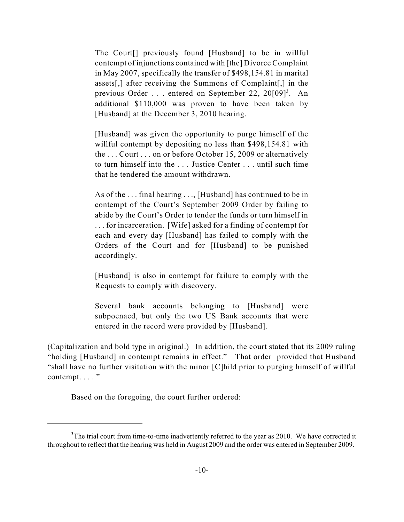The Court[] previously found [Husband] to be in willful contempt of injunctions contained with [the] Divorce Complaint in May 2007, specifically the transfer of \$498,154.81 in marital assets[,] after receiving the Summons of Complaint[,] in the previous Order . . . entered on September 22, 20[09]<sup>3</sup>. An additional \$110,000 was proven to have been taken by [Husband] at the December 3, 2010 hearing.

[Husband] was given the opportunity to purge himself of the willful contempt by depositing no less than \$498,154.81 with the . . . Court . . . on or before October 15, 2009 or alternatively to turn himself into the . . . Justice Center . . . until such time that he tendered the amount withdrawn.

As of the . . . final hearing . . ., [Husband] has continued to be in contempt of the Court's September 2009 Order by failing to abide by the Court's Order to tender the funds or turn himself in . . . for incarceration. [Wife] asked for a finding of contempt for each and every day [Husband] has failed to comply with the Orders of the Court and for [Husband] to be punished accordingly.

[Husband] is also in contempt for failure to comply with the Requests to comply with discovery.

Several bank accounts belonging to [Husband] were subpoenaed, but only the two US Bank accounts that were entered in the record were provided by [Husband].

(Capitalization and bold type in original.) In addition, the court stated that its 2009 ruling "holding [Husband] in contempt remains in effect." That order provided that Husband "shall have no further visitation with the minor [C]hild prior to purging himself of willful contempt. . . . "

Based on the foregoing, the court further ordered:

 $3$ The trial court from time-to-time inadvertently referred to the year as 2010. We have corrected it throughout to reflect that the hearing was held in August 2009 and the order was entered in September 2009.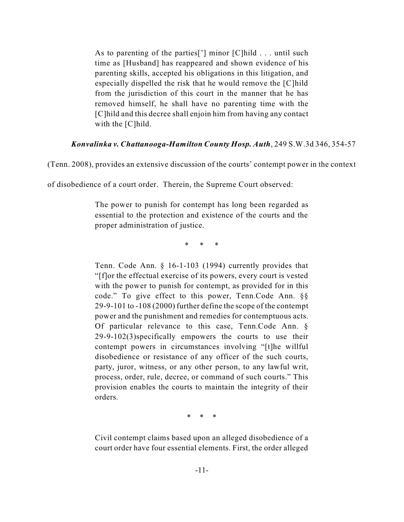As to parenting of the parties<sup>[']</sup> minor  $[C]$  hild . . . until such time as [Husband] has reappeared and shown evidence of his parenting skills, accepted his obligations in this litigation, and especially dispelled the risk that he would remove the [C]hild from the jurisdiction of this court in the manner that he has removed himself, he shall have no parenting time with the [C]hild and this decree shall enjoin him from having any contact with the [C]hild.

#### *Konvalinka v. Chattanooga-Hamilton County Hosp. Auth*, 249 S.W.3d 346, 354-57

(Tenn. 2008), provides an extensive discussion of the courts' contempt power in the context

of disobedience of a court order. Therein, the Supreme Court observed:

The power to punish for contempt has long been regarded as essential to the protection and existence of the courts and the proper administration of justice.

\* \* \*

Tenn. Code Ann. § 16-1-103 (1994) currently provides that "[f]or the effectual exercise of its powers, every court is vested with the power to punish for contempt, as provided for in this code." To give effect to this power, Tenn.Code Ann. §§ 29-9-101 to -108 (2000) further define the scope of the contempt power and the punishment and remedies for contemptuous acts. Of particular relevance to this case, Tenn.Code Ann. § 29-9-102(3)specifically empowers the courts to use their contempt powers in circumstances involving "[t]he willful disobedience or resistance of any officer of the such courts, party, juror, witness, or any other person, to any lawful writ, process, order, rule, decree, or command of such courts." This provision enables the courts to maintain the integrity of their orders.

\* \* \*

Civil contempt claims based upon an alleged disobedience of a court order have four essential elements. First, the order alleged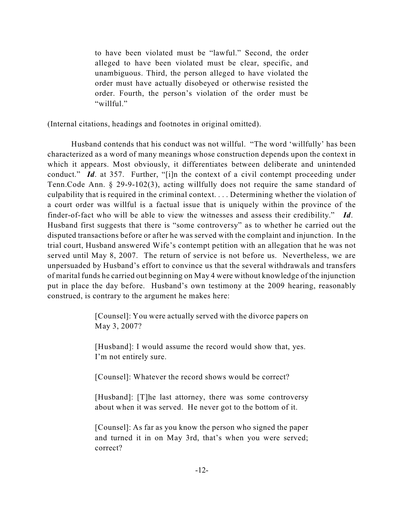to have been violated must be "lawful." Second, the order alleged to have been violated must be clear, specific, and unambiguous. Third, the person alleged to have violated the order must have actually disobeyed or otherwise resisted the order. Fourth, the person's violation of the order must be "willful."

(Internal citations, headings and footnotes in original omitted).

Husband contends that his conduct was not willful. "The word 'willfully' has been characterized as a word of many meanings whose construction depends upon the context in which it appears. Most obviously, it differentiates between deliberate and unintended conduct." *Id.* at 357. Further, "[i]n the context of a civil contempt proceeding under Tenn.Code Ann. § 29-9-102(3), acting willfully does not require the same standard of culpability that is required in the criminal context. . . . Determining whether the violation of a court order was willful is a factual issue that is uniquely within the province of the finder-of-fact who will be able to view the witnesses and assess their credibility." *Id*. Husband first suggests that there is "some controversy" as to whether he carried out the disputed transactions before or after he was served with the complaint and injunction. In the trial court, Husband answered Wife's contempt petition with an allegation that he was not served until May 8, 2007. The return of service is not before us. Nevertheless, we are unpersuaded by Husband's effort to convince us that the several withdrawals and transfers of marital funds he carried out beginning on May 4 were without knowledge of the injunction put in place the day before. Husband's own testimony at the 2009 hearing, reasonably construed, is contrary to the argument he makes here:

> [Counsel]: You were actually served with the divorce papers on May 3, 2007?

[Husband]: I would assume the record would show that, yes. I'm not entirely sure.

[Counsel]: Whatever the record shows would be correct?

[Husband]: [T]he last attorney, there was some controversy about when it was served. He never got to the bottom of it.

[Counsel]: As far as you know the person who signed the paper and turned it in on May 3rd, that's when you were served; correct?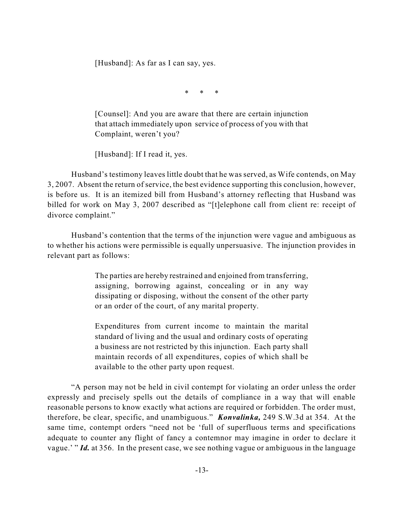[Husband]: As far as I can say, yes.

\* \* \*

[Counsel]: And you are aware that there are certain injunction that attach immediately upon service of process of you with that Complaint, weren't you?

[Husband]: If I read it, yes.

Husband's testimony leaves little doubt that he was served, as Wife contends, on May 3, 2007. Absent the return of service, the best evidence supporting this conclusion, however, is before us. It is an itemized bill from Husband's attorney reflecting that Husband was billed for work on May 3, 2007 described as "[t]elephone call from client re: receipt of divorce complaint."

Husband's contention that the terms of the injunction were vague and ambiguous as to whether his actions were permissible is equally unpersuasive. The injunction provides in relevant part as follows:

> The parties are hereby restrained and enjoined from transferring, assigning, borrowing against, concealing or in any way dissipating or disposing, without the consent of the other party or an order of the court, of any marital property.

> Expenditures from current income to maintain the marital standard of living and the usual and ordinary costs of operating a business are not restricted by this injunction. Each party shall maintain records of all expenditures, copies of which shall be available to the other party upon request.

"A person may not be held in civil contempt for violating an order unless the order expressly and precisely spells out the details of compliance in a way that will enable reasonable persons to know exactly what actions are required or forbidden. The order must, therefore, be clear, specific, and unambiguous." *Konvalinka,* 249 S.W.3d at 354. At the same time, contempt orders "need not be 'full of superfluous terms and specifications adequate to counter any flight of fancy a contemnor may imagine in order to declare it vague.' " *Id.* at 356. In the present case, we see nothing vague or ambiguous in the language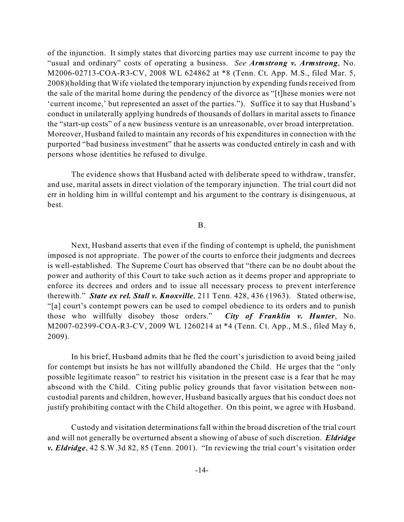of the injunction. It simply states that divorcing parties may use current income to pay the "usual and ordinary" costs of operating a business. *See Armstrong v. Armstrong*, No. M2006-02713-COA-R3-CV, 2008 WL 624862 at \*8 (Tenn. Ct. App. M.S., filed Mar. 5, 2008)(holding that Wife violated the temporary injunction by expending fundsreceived from the sale of the marital home during the pendency of the divorce as "[t]hese monies were not 'current income,' but represented an asset of the parties."). Suffice it to say that Husband's conduct in unilaterally applying hundreds of thousands of dollars in marital assets to finance the "start-up costs" of a new business venture is an unreasonable, over broad interpretation. Moreover, Husband failed to maintain any records of his expenditures in connection with the purported "bad business investment" that he asserts was conducted entirely in cash and with persons whose identities he refused to divulge.

The evidence shows that Husband acted with deliberate speed to withdraw, transfer, and use, marital assets in direct violation of the temporary injunction. The trial court did not err in holding him in willful contempt and his argument to the contrary is disingenuous, at best.

## B.

Next, Husband asserts that even if the finding of contempt is upheld, the punishment imposed is not appropriate. The power of the courts to enforce their judgments and decrees is well-established. The Supreme Court has observed that "there can be no doubt about the power and authority of this Court to take such action as it deems proper and appropriate to enforce its decrees and orders and to issue all necessary process to prevent interference therewith." *State ex rel. Stall v. Knoxville*, 211 Tenn. 428, 436 (1963). Stated otherwise, "[a] court's contempt powers can be used to compel obedience to its orders and to punish those who willfully disobey those orders." *City of Franklin v. Hunter*, No. M2007-02399-COA-R3-CV, 2009 WL 1260214 at \*4 (Tenn. Ct. App., M.S., filed May 6, 2009).

In his brief, Husband admits that he fled the court's jurisdiction to avoid being jailed for contempt but insists he has not willfully abandoned the Child. He urges that the "only possible legitimate reason" to restrict his visitation in the present case is a fear that he may abscond with the Child. Citing public policy grounds that favor visitation between noncustodial parents and children, however, Husband basically argues that his conduct does not justify prohibiting contact with the Child altogether. On this point, we agree with Husband.

Custody and visitation determinationsfall within the broad discretion of the trial court and will not generally be overturned absent a showing of abuse of such discretion. *Eldridge v. Eldridge*, 42 S.W.3d 82, 85 (Tenn. 2001). "In reviewing the trial court's visitation order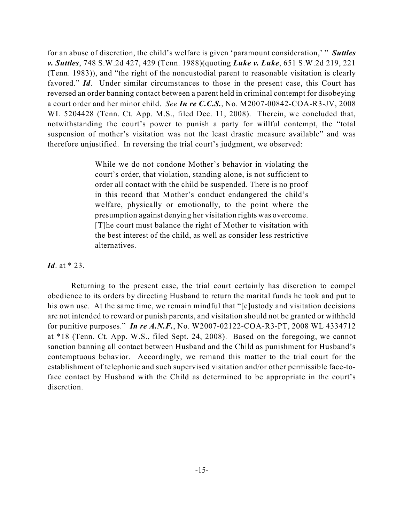for an abuse of discretion, the child's welfare is given 'paramount consideration,' " *Suttles v. Suttles*, 748 S.W.2d 427, 429 (Tenn. 1988)(quoting *Luke v. Luke*, 651 S.W.2d 219, 221 (Tenn. 1983)), and "the right of the noncustodial parent to reasonable visitation is clearly favored." *Id*. Under similar circumstances to those in the present case, this Court has reversed an order banning contact between a parent held in criminal contempt for disobeying a court order and her minor child. *See In re C.C.S.*, No. M2007-00842-COA-R3-JV, 2008 WL 5204428 (Tenn. Ct. App. M.S., filed Dec. 11, 2008). Therein, we concluded that, notwithstanding the court's power to punish a party for willful contempt, the "total suspension of mother's visitation was not the least drastic measure available" and was therefore unjustified. In reversing the trial court's judgment, we observed:

> While we do not condone Mother's behavior in violating the court's order, that violation, standing alone, is not sufficient to order all contact with the child be suspended. There is no proof in this record that Mother's conduct endangered the child's welfare, physically or emotionally, to the point where the presumption against denying her visitation rights was overcome. [T]he court must balance the right of Mother to visitation with the best interest of the child, as well as consider less restrictive alternatives.

*Id*. at \* 23.

Returning to the present case, the trial court certainly has discretion to compel obedience to its orders by directing Husband to return the marital funds he took and put to his own use. At the same time, we remain mindful that "[c]ustody and visitation decisions are not intended to reward or punish parents, and visitation should not be granted or withheld for punitive purposes." *In re A.N.F.*, No. W2007-02122-COA-R3-PT, 2008 WL 4334712 at \*18 (Tenn. Ct. App. W.S., filed Sept. 24, 2008). Based on the foregoing, we cannot sanction banning all contact between Husband and the Child as punishment for Husband's contemptuous behavior. Accordingly, we remand this matter to the trial court for the establishment of telephonic and such supervised visitation and/or other permissible face-toface contact by Husband with the Child as determined to be appropriate in the court's discretion.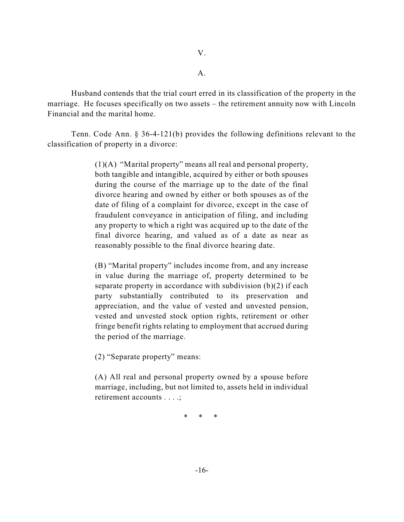Husband contends that the trial court erred in its classification of the property in the marriage. He focuses specifically on two assets – the retirement annuity now with Lincoln Financial and the marital home.

Tenn. Code Ann. § 36-4-121(b) provides the following definitions relevant to the classification of property in a divorce:

> (1)(A) "Marital property" means all real and personal property, both tangible and intangible, acquired by either or both spouses during the course of the marriage up to the date of the final divorce hearing and owned by either or both spouses as of the date of filing of a complaint for divorce, except in the case of fraudulent conveyance in anticipation of filing, and including any property to which a right was acquired up to the date of the final divorce hearing, and valued as of a date as near as reasonably possible to the final divorce hearing date.

> (B) "Marital property" includes income from, and any increase in value during the marriage of, property determined to be separate property in accordance with subdivision (b)(2) if each party substantially contributed to its preservation and appreciation, and the value of vested and unvested pension, vested and unvested stock option rights, retirement or other fringe benefit rights relating to employment that accrued during the period of the marriage.

(2) "Separate property" means:

(A) All real and personal property owned by a spouse before marriage, including, but not limited to, assets held in individual retirement accounts . . . .;

\* \* \*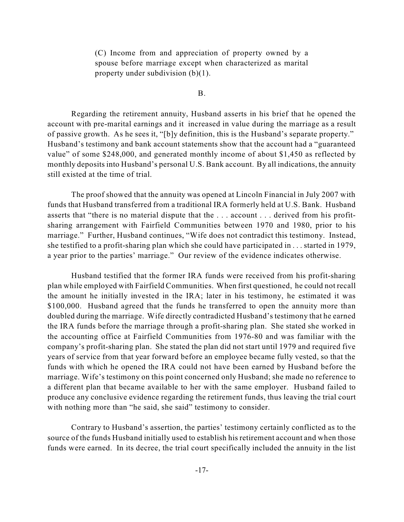(C) Income from and appreciation of property owned by a spouse before marriage except when characterized as marital property under subdivision (b)(1).

B.

Regarding the retirement annuity, Husband asserts in his brief that he opened the account with pre-marital earnings and it increased in value during the marriage as a result of passive growth. As he sees it, "[b]y definition, this is the Husband's separate property." Husband's testimony and bank account statements show that the account had a "guaranteed value" of some \$248,000, and generated monthly income of about \$1,450 as reflected by monthly deposits into Husband's personal U.S. Bank account. By all indications, the annuity still existed at the time of trial.

The proof showed that the annuity was opened at Lincoln Financial in July 2007 with funds that Husband transferred from a traditional IRA formerly held at U.S. Bank. Husband asserts that "there is no material dispute that the . . . account . . . derived from his profitsharing arrangement with Fairfield Communities between 1970 and 1980, prior to his marriage." Further, Husband continues, "Wife does not contradict this testimony. Instead, she testified to a profit-sharing plan which she could have participated in . . . started in 1979, a year prior to the parties' marriage." Our review of the evidence indicates otherwise.

Husband testified that the former IRA funds were received from his profit-sharing plan while employed with Fairfield Communities. When first questioned, he could not recall the amount he initially invested in the IRA; later in his testimony, he estimated it was \$100,000. Husband agreed that the funds he transferred to open the annuity more than doubled during the marriage. Wife directly contradicted Husband's testimony that he earned the IRA funds before the marriage through a profit-sharing plan. She stated she worked in the accounting office at Fairfield Communities from 1976-80 and was familiar with the company's profit-sharing plan. She stated the plan did not start until 1979 and required five years of service from that year forward before an employee became fully vested, so that the funds with which he opened the IRA could not have been earned by Husband before the marriage. Wife's testimony on this point concerned only Husband; she made no reference to a different plan that became available to her with the same employer. Husband failed to produce any conclusive evidence regarding the retirement funds, thus leaving the trial court with nothing more than "he said, she said" testimony to consider.

Contrary to Husband's assertion, the parties' testimony certainly conflicted as to the source of the funds Husband initially used to establish his retirement account and when those funds were earned. In its decree, the trial court specifically included the annuity in the list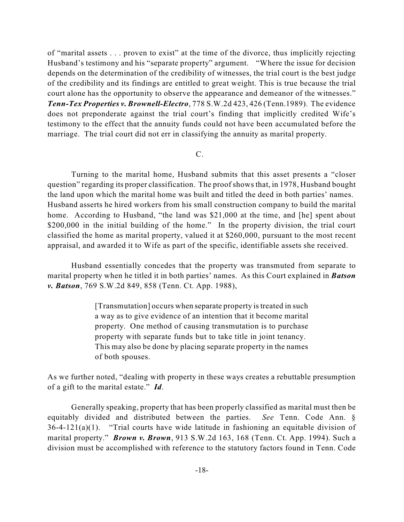of "marital assets . . . proven to exist" at the time of the divorce, thus implicitly rejecting Husband's testimony and his "separate property" argument. "Where the issue for decision depends on the determination of the credibility of witnesses, the trial court is the best judge of the credibility and its findings are entitled to great weight. This is true because the trial court alone has the opportunity to observe the appearance and demeanor of the witnesses." *Tenn-Tex Properties v. Brownell-Electro*, 778 S.W.2d 423, 426 (Tenn.1989). The evidence does not preponderate against the trial court's finding that implicitly credited Wife's testimony to the effect that the annuity funds could not have been accumulated before the marriage. The trial court did not err in classifying the annuity as marital property.

## C.

Turning to the marital home, Husband submits that this asset presents a "closer question" regarding its proper classification. The proof shows that, in 1978, Husband bought the land upon which the marital home was built and titled the deed in both parties' names. Husband asserts he hired workers from his small construction company to build the marital home. According to Husband, "the land was \$21,000 at the time, and [he] spent about \$200,000 in the initial building of the home." In the property division, the trial court classified the home as marital property, valued it at \$260,000, pursuant to the most recent appraisal, and awarded it to Wife as part of the specific, identifiable assets she received.

Husband essentially concedes that the property was transmuted from separate to marital property when he titled it in both parties' names. As this Court explained in *Batson v. Batson*, 769 S.W.2d 849, 858 (Tenn. Ct. App. 1988),

> [Transmutation] occurs when separate property is treated in such a way as to give evidence of an intention that it become marital property. One method of causing transmutation is to purchase property with separate funds but to take title in joint tenancy. This may also be done by placing separate property in the names of both spouses.

As we further noted, "dealing with property in these ways creates a rebuttable presumption of a gift to the marital estate." *Id*.

Generally speaking, property that has been properly classified as marital must then be equitably divided and distributed between the parties. *See* Tenn. Code Ann. § 36-4-121(a)(1). "Trial courts have wide latitude in fashioning an equitable division of marital property." *Brown v. Brown*, 913 S.W.2d 163, 168 (Tenn. Ct. App. 1994). Such a division must be accomplished with reference to the statutory factors found in Tenn. Code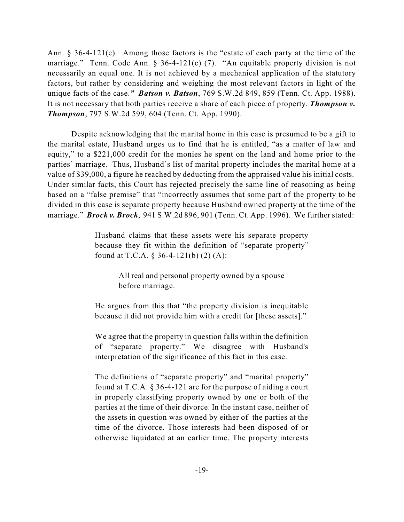Ann. § 36-4-121(c). Among those factors is the "estate of each party at the time of the marriage." Tenn. Code Ann. § 36-4-121(c) (7). "An equitable property division is not necessarily an equal one. It is not achieved by a mechanical application of the statutory factors, but rather by considering and weighing the most relevant factors in light of the unique facts of the case.*" Batson v. Batson*, 769 S.W.2d 849, 859 (Tenn. Ct. App. 1988). It is not necessary that both parties receive a share of each piece of property. *Thompson v. Thompson*, 797 S.W.2d 599, 604 (Tenn. Ct. App. 1990).

Despite acknowledging that the marital home in this case is presumed to be a gift to the marital estate, Husband urges us to find that he is entitled, "as a matter of law and equity," to a \$221,000 credit for the monies he spent on the land and home prior to the parties' marriage. Thus, Husband's list of marital property includes the marital home at a value of \$39,000, a figure he reached by deducting from the appraised value his initial costs. Under similar facts, this Court has rejected precisely the same line of reasoning as being based on a "false premise" that "incorrectly assumes that some part of the property to be divided in this case is separate property because Husband owned property at the time of the marriage." *Brock v. Brock*, 941 S.W.2d 896, 901 (Tenn. Ct. App. 1996). We further stated:

> Husband claims that these assets were his separate property because they fit within the definition of "separate property" found at T.C.A. § 36-4-121(b) (2) (A):

> > All real and personal property owned by a spouse before marriage.

He argues from this that "the property division is inequitable because it did not provide him with a credit for [these assets]."

We agree that the property in question falls within the definition of "separate property." We disagree with Husband's interpretation of the significance of this fact in this case.

The definitions of "separate property" and "marital property" found at T.C.A. § 36-4-121 are for the purpose of aiding a court in properly classifying property owned by one or both of the parties at the time of their divorce. In the instant case, neither of the assets in question was owned by either of the parties at the time of the divorce. Those interests had been disposed of or otherwise liquidated at an earlier time. The property interests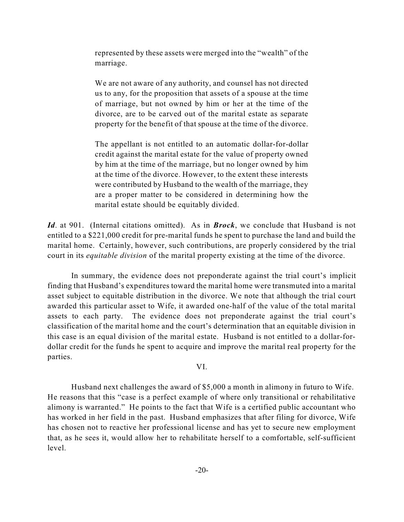represented by these assets were merged into the "wealth" of the marriage.

We are not aware of any authority, and counsel has not directed us to any, for the proposition that assets of a spouse at the time of marriage, but not owned by him or her at the time of the divorce, are to be carved out of the marital estate as separate property for the benefit of that spouse at the time of the divorce.

The appellant is not entitled to an automatic dollar-for-dollar credit against the marital estate for the value of property owned by him at the time of the marriage, but no longer owned by him at the time of the divorce. However, to the extent these interests were contributed by Husband to the wealth of the marriage, they are a proper matter to be considered in determining how the marital estate should be equitably divided.

*Id*. at 901. (Internal citations omitted). As in *Brock*, we conclude that Husband is not entitled to a \$221,000 credit for pre-marital funds he spent to purchase the land and build the marital home. Certainly, however, such contributions, are properly considered by the trial court in its *equitable division* of the marital property existing at the time of the divorce.

In summary, the evidence does not preponderate against the trial court's implicit finding that Husband's expenditures toward the marital home were transmuted into a marital asset subject to equitable distribution in the divorce. We note that although the trial court awarded this particular asset to Wife, it awarded one-half of the value of the total marital assets to each party. The evidence does not preponderate against the trial court's classification of the marital home and the court's determination that an equitable division in this case is an equal division of the marital estate. Husband is not entitled to a dollar-fordollar credit for the funds he spent to acquire and improve the marital real property for the parties.

VI.

Husband next challenges the award of \$5,000 a month in alimony in futuro to Wife. He reasons that this "case is a perfect example of where only transitional or rehabilitative alimony is warranted." He points to the fact that Wife is a certified public accountant who has worked in her field in the past. Husband emphasizes that after filing for divorce, Wife has chosen not to reactive her professional license and has yet to secure new employment that, as he sees it, would allow her to rehabilitate herself to a comfortable, self-sufficient level.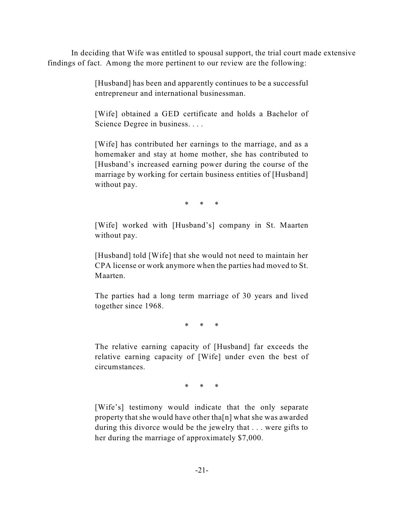In deciding that Wife was entitled to spousal support, the trial court made extensive findings of fact. Among the more pertinent to our review are the following:

> [Husband] has been and apparently continues to be a successful entrepreneur and international businessman.

> [Wife] obtained a GED certificate and holds a Bachelor of Science Degree in business. . . .

> [Wife] has contributed her earnings to the marriage, and as a homemaker and stay at home mother, she has contributed to [Husband's increased earning power during the course of the marriage by working for certain business entities of [Husband] without pay.

> > \* \* \*

[Wife] worked with [Husband's] company in St. Maarten without pay.

[Husband] told [Wife] that she would not need to maintain her CPA license or work anymore when the parties had moved to St. Maarten.

The parties had a long term marriage of 30 years and lived together since 1968.

\* \* \*

The relative earning capacity of [Husband] far exceeds the relative earning capacity of [Wife] under even the best of circumstances.

\* \* \*

[Wife's] testimony would indicate that the only separate property that she would have other tha[n] what she was awarded during this divorce would be the jewelry that . . . were gifts to her during the marriage of approximately \$7,000.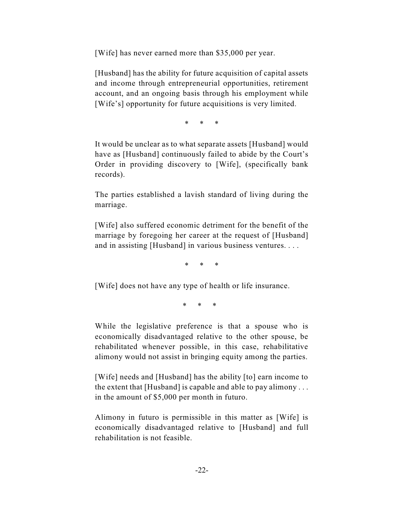[Wife] has never earned more than \$35,000 per year.

[Husband] has the ability for future acquisition of capital assets and income through entrepreneurial opportunities, retirement account, and an ongoing basis through his employment while [Wife's] opportunity for future acquisitions is very limited.

\* \* \*

It would be unclear as to what separate assets [Husband] would have as [Husband] continuously failed to abide by the Court's Order in providing discovery to [Wife], (specifically bank records).

The parties established a lavish standard of living during the marriage.

[Wife] also suffered economic detriment for the benefit of the marriage by foregoing her career at the request of [Husband] and in assisting [Husband] in various business ventures. . . .

\* \* \*

[Wife] does not have any type of health or life insurance.

\* \* \*

While the legislative preference is that a spouse who is economically disadvantaged relative to the other spouse, be rehabilitated whenever possible, in this case, rehabilitative alimony would not assist in bringing equity among the parties.

[Wife] needs and [Husband] has the ability [to] earn income to the extent that [Husband] is capable and able to pay alimony . . . in the amount of \$5,000 per month in futuro.

Alimony in futuro is permissible in this matter as [Wife] is economically disadvantaged relative to [Husband] and full rehabilitation is not feasible.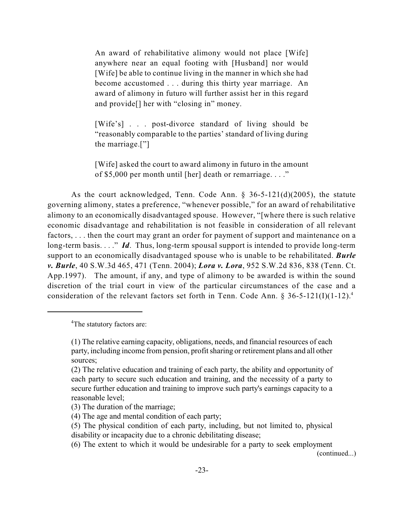An award of rehabilitative alimony would not place [Wife] anywhere near an equal footing with [Husband] nor would [Wife] be able to continue living in the manner in which she had become accustomed . . . during this thirty year marriage. An award of alimony in futuro will further assist her in this regard and provide[] her with "closing in" money.

[Wife's] . . . post-divorce standard of living should be "reasonably comparable to the parties' standard of living during the marriage.["]

[Wife] asked the court to award alimony in futuro in the amount of \$5,000 per month until [her] death or remarriage. . . ."

As the court acknowledged, Tenn. Code Ann. § 36-5-121(d)(2005), the statute governing alimony, states a preference, "whenever possible," for an award of rehabilitative alimony to an economically disadvantaged spouse. However, "[where there is such relative economic disadvantage and rehabilitation is not feasible in consideration of all relevant factors, . . . then the court may grant an order for payment of support and maintenance on a long-term basis. . . ." *Id*. Thus, long-term spousal support is intended to provide long-term support to an economically disadvantaged spouse who is unable to be rehabilitated. *Burle v. Burle*, 40 S.W.3d 465, 471 (Tenn. 2004); *Lora v. Lora*, 952 S.W.2d 836, 838 (Tenn. Ct. App.1997). The amount, if any, and type of alimony to be awarded is within the sound discretion of the trial court in view of the particular circumstances of the case and a consideration of the relevant factors set forth in Tenn. Code Ann. § 36-5-121(I)(1-12). 4

(continued...)

<sup>&</sup>lt;sup>4</sup>The statutory factors are:

<sup>(1)</sup> The relative earning capacity, obligations, needs, and financial resources of each party, including income from pension, profit sharing or retirement plans and all other sources;

<sup>(2)</sup> The relative education and training of each party, the ability and opportunity of each party to secure such education and training, and the necessity of a party to secure further education and training to improve such party's earnings capacity to a reasonable level;

<sup>(3)</sup> The duration of the marriage;

<sup>(4)</sup> The age and mental condition of each party;

<sup>(5)</sup> The physical condition of each party, including, but not limited to, physical disability or incapacity due to a chronic debilitating disease;

<sup>(6)</sup> The extent to which it would be undesirable for a party to seek employment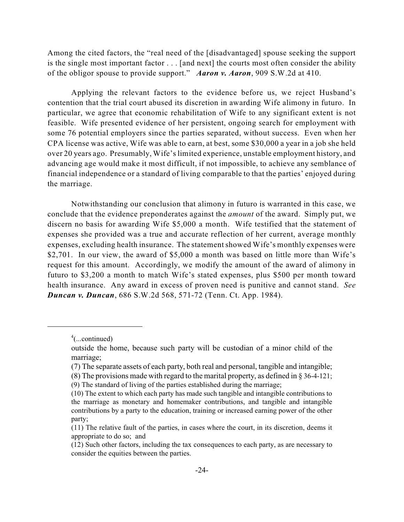Among the cited factors, the "real need of the [disadvantaged] spouse seeking the support is the single most important factor . . . [and next] the courts most often consider the ability of the obligor spouse to provide support." *Aaron v. Aaron*, 909 S.W.2d at 410.

Applying the relevant factors to the evidence before us, we reject Husband's contention that the trial court abused its discretion in awarding Wife alimony in futuro. In particular, we agree that economic rehabilitation of Wife to any significant extent is not feasible. Wife presented evidence of her persistent, ongoing search for employment with some 76 potential employers since the parties separated, without success. Even when her CPA license was active, Wife was able to earn, at best, some \$30,000 a year in a job she held over 20 years ago. Presumably, Wife'slimited experience, unstable employment history, and advancing age would make it most difficult, if not impossible, to achieve any semblance of financial independence or a standard of living comparable to that the parties' enjoyed during the marriage.

Notwithstanding our conclusion that alimony in futuro is warranted in this case, we conclude that the evidence preponderates against the *amount* of the award. Simply put, we discern no basis for awarding Wife \$5,000 a month. Wife testified that the statement of expenses she provided was a true and accurate reflection of her current, average monthly expenses, excluding health insurance. The statementshowed Wife's monthly expenses were \$2,701. In our view, the award of \$5,000 a month was based on little more than Wife's request for this amount. Accordingly, we modify the amount of the award of alimony in futuro to \$3,200 a month to match Wife's stated expenses, plus \$500 per month toward health insurance. Any award in excess of proven need is punitive and cannot stand. *See Duncan v. Duncan*, 686 S.W.2d 568, 571-72 (Tenn. Ct. App. 1984).

 $4$ (...continued)

outside the home, because such party will be custodian of a minor child of the marriage;

<sup>(7)</sup> The separate assets of each party, both real and personal, tangible and intangible;

<sup>(8)</sup> The provisions made with regard to the marital property, as defined in § 36-4-121;

<sup>(9)</sup> The standard of living of the parties established during the marriage;

<sup>(10)</sup> The extent to which each party has made such tangible and intangible contributions to the marriage as monetary and homemaker contributions, and tangible and intangible contributions by a party to the education, training or increased earning power of the other party;

<sup>(11)</sup> The relative fault of the parties, in cases where the court, in its discretion, deems it appropriate to do so; and

<sup>(12)</sup> Such other factors, including the tax consequences to each party, as are necessary to consider the equities between the parties.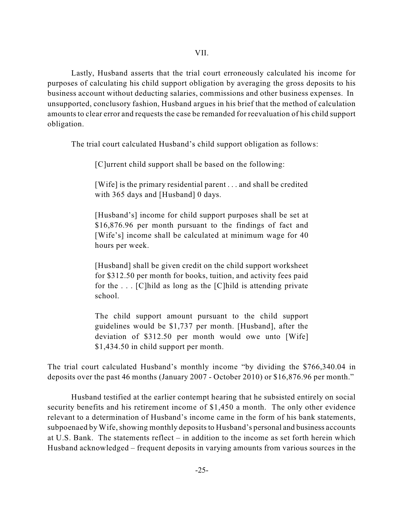Lastly, Husband asserts that the trial court erroneously calculated his income for purposes of calculating his child support obligation by averaging the gross deposits to his business account without deducting salaries, commissions and other business expenses. In unsupported, conclusory fashion, Husband argues in his brief that the method of calculation amounts to clear error and requests the case be remanded for reevaluation of his child support obligation.

The trial court calculated Husband's child support obligation as follows:

[C]urrent child support shall be based on the following:

[Wife] is the primary residential parent . . . and shall be credited with 365 days and [Husband] 0 days.

[Husband's] income for child support purposes shall be set at \$16,876.96 per month pursuant to the findings of fact and [Wife's] income shall be calculated at minimum wage for 40 hours per week.

[Husband] shall be given credit on the child support worksheet for \$312.50 per month for books, tuition, and activity fees paid for the  $\ldots$  [C] hild as long as the [C] hild is attending private school.

The child support amount pursuant to the child support guidelines would be \$1,737 per month. [Husband], after the deviation of \$312.50 per month would owe unto [Wife] \$1,434.50 in child support per month.

The trial court calculated Husband's monthly income "by dividing the \$766,340.04 in deposits over the past 46 months (January 2007 - October 2010) or \$16,876.96 per month."

Husband testified at the earlier contempt hearing that he subsisted entirely on social security benefits and his retirement income of \$1,450 a month. The only other evidence relevant to a determination of Husband's income came in the form of his bank statements, subpoenaed by Wife, showing monthly deposits to Husband's personal and business accounts at U.S. Bank. The statements reflect – in addition to the income as set forth herein which Husband acknowledged – frequent deposits in varying amounts from various sources in the